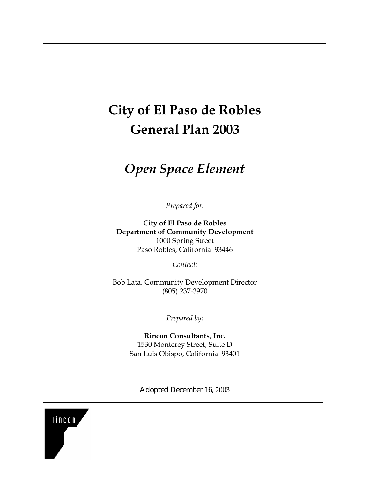# **City of El Paso de Robles General Plan 2003**

# *Open Space Element*

*Prepared for:* 

**City of El Paso de Robles Department of Community Development**  1000 Spring Street Paso Robles, California 93446

*Contact:* 

Bob Lata, Community Development Director (805) 237-3970

*Prepared by:* 

**Rincon Consultants, Inc.**  1530 Monterey Street, Suite D San Luis Obispo, California 93401

Adopted December 16, 2003

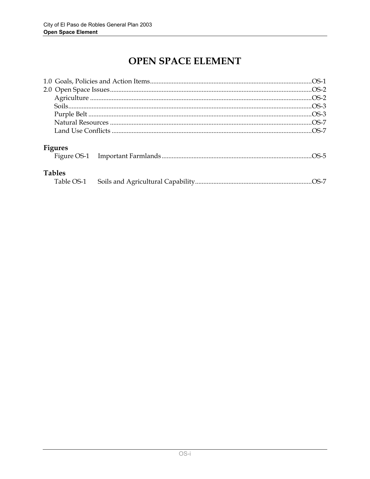# OPEN SPACE ELEMENT

| <b>Figures</b>              |  |
|-----------------------------|--|
| <b>Tables</b><br>Table OS-1 |  |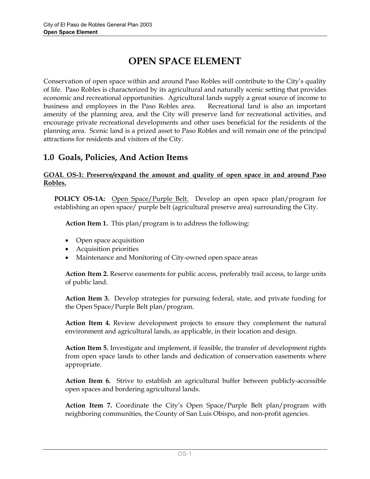# **OPEN SPACE ELEMENT**

Conservation of open space within and around Paso Robles will contribute to the City's quality of life. Paso Robles is characterized by its agricultural and naturally scenic setting that provides economic and recreational opportunities. Agricultural lands supply a great source of income to business and employees in the Paso Robles area. Recreational land is also an important amenity of the planning area, and the City will preserve land for recreational activities, and encourage private recreational developments and other uses beneficial for the residents of the planning area. Scenic land is a prized asset to Paso Robles and will remain one of the principal attractions for residents and visitors of the City.

# **1.0 Goals, Policies, And Action Items**

### **GOAL OS-1: Preserve/expand the amount and quality of open space in and around Paso Robles.**

**POLICY OS-1A:** Open Space/Purple Belt. Develop an open space plan/program for establishing an open space/ purple belt (agricultural preserve area) surrounding the City.

**Action Item 1.** This plan/program is to address the following:

- Open space acquisition
- Acquisition priorities
- Maintenance and Monitoring of City-owned open space areas

**Action Item 2.** Reserve easements for public access, preferably trail access, to large units of public land.

**Action Item 3.** Develop strategies for pursuing federal, state, and private funding for the Open Space/Purple Belt plan/program.

**Action Item 4.** Review development projects to ensure they complement the natural environment and agricultural lands, as applicable, in their location and design.

**Action Item 5.** Investigate and implement, if feasible, the transfer of development rights from open space lands to other lands and dedication of conservation easements where appropriate.

**Action Item 6.** Strive to establish an agricultural buffer between publicly-accessible open spaces and bordering agricultural lands.

**Action Item 7.** Coordinate the City's Open Space/Purple Belt plan/program with neighboring communities, the County of San Luis Obispo, and non-profit agencies.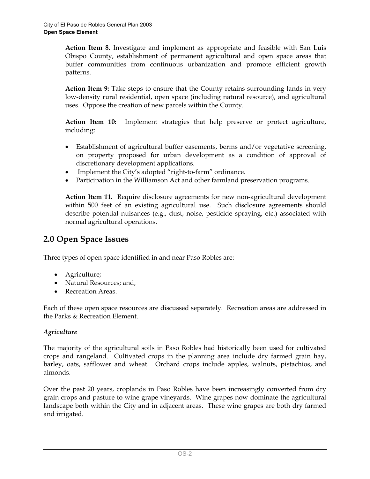**Action Item 8.** Investigate and implement as appropriate and feasible with San Luis Obispo County, establishment of permanent agricultural and open space areas that buffer communities from continuous urbanization and promote efficient growth patterns.

**Action Item 9:** Take steps to ensure that the County retains surrounding lands in very low-density rural residential, open space (including natural resource), and agricultural uses. Oppose the creation of new parcels within the County.

**Action Item 10:** Implement strategies that help preserve or protect agriculture, including:

- Establishment of agricultural buffer easements, berms and/or vegetative screening, on property proposed for urban development as a condition of approval of discretionary development applications.
- Implement the City's adopted "right-to-farm" ordinance.
- Participation in the Williamson Act and other farmland preservation programs.

**Action Item 11.** Require disclosure agreements for new non-agricultural development within 500 feet of an existing agricultural use. Such disclosure agreements should describe potential nuisances (e.g., dust, noise, pesticide spraying, etc.) associated with normal agricultural operations.

# **2.0 Open Space Issues**

Three types of open space identified in and near Paso Robles are:

- Agriculture;
- Natural Resources; and,
- Recreation Areas.

Each of these open space resources are discussed separately. Recreation areas are addressed in the Parks & Recreation Element.

### *Agriculture*

The majority of the agricultural soils in Paso Robles had historically been used for cultivated crops and rangeland. Cultivated crops in the planning area include dry farmed grain hay, barley, oats, safflower and wheat. Orchard crops include apples, walnuts, pistachios, and almonds.

Over the past 20 years, croplands in Paso Robles have been increasingly converted from dry grain crops and pasture to wine grape vineyards. Wine grapes now dominate the agricultural landscape both within the City and in adjacent areas. These wine grapes are both dry farmed and irrigated.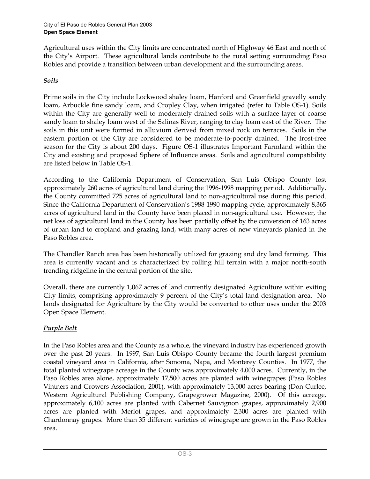Agricultural uses within the City limits are concentrated north of Highway 46 East and north of the City's Airport. These agricultural lands contribute to the rural setting surrounding Paso Robles and provide a transition between urban development and the surrounding areas.

## *Soils*

Prime soils in the City include Lockwood shaley loam, Hanford and Greenfield gravelly sandy loam, Arbuckle fine sandy loam, and Cropley Clay, when irrigated (refer to Table OS-1). Soils within the City are generally well to moderately-drained soils with a surface layer of coarse sandy loam to shaley loam west of the Salinas River, ranging to clay loam east of the River. The soils in this unit were formed in alluvium derived from mixed rock on terraces. Soils in the eastern portion of the City are considered to be moderate-to-poorly drained. The frost-free season for the City is about 200 days. Figure OS-1 illustrates Important Farmland within the City and existing and proposed Sphere of Influence areas. Soils and agricultural compatibility are listed below in Table OS-1.

According to the California Department of Conservation, San Luis Obispo County lost approximately 260 acres of agricultural land during the 1996-1998 mapping period. Additionally, the County committed 725 acres of agricultural land to non-agricultural use during this period. Since the California Department of Conservation's 1988-1990 mapping cycle, approximately 8,365 acres of agricultural land in the County have been placed in non-agricultural use. However, the net loss of agricultural land in the County has been partially offset by the conversion of 163 acres of urban land to cropland and grazing land, with many acres of new vineyards planted in the Paso Robles area.

The Chandler Ranch area has been historically utilized for grazing and dry land farming. This area is currently vacant and is characterized by rolling hill terrain with a major north-south trending ridgeline in the central portion of the site.

Overall, there are currently 1,067 acres of land currently designated Agriculture within exiting City limits, comprising approximately 9 percent of the City's total land designation area. No lands designated for Agriculture by the City would be converted to other uses under the 2003 Open Space Element.

## *Purple Belt*

In the Paso Robles area and the County as a whole, the vineyard industry has experienced growth over the past 20 years. In 1997, San Luis Obispo County became the fourth largest premium coastal vineyard area in California, after Sonoma, Napa, and Monterey Counties. In 1977, the total planted winegrape acreage in the County was approximately 4,000 acres. Currently, in the Paso Robles area alone, approximately 17,500 acres are planted with winegrapes (Paso Robles Vintners and Growers Association, 2001), with approximately 13,000 acres bearing (Don Curlee, Western Agricultural Publishing Company, Grapegrower Magazine, 2000). Of this acreage, approximately 6,100 acres are planted with Cabernet Sauvignon grapes, approximately 2,900 acres are planted with Merlot grapes, and approximately 2,300 acres are planted with Chardonnay grapes. More than 35 different varieties of winegrape are grown in the Paso Robles area.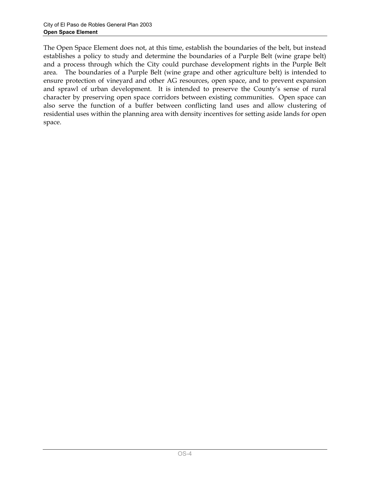The Open Space Element does not, at this time, establish the boundaries of the belt, but instead establishes a policy to study and determine the boundaries of a Purple Belt (wine grape belt) and a process through which the City could purchase development rights in the Purple Belt area. The boundaries of a Purple Belt (wine grape and other agriculture belt) is intended to ensure protection of vineyard and other AG resources, open space, and to prevent expansion and sprawl of urban development. It is intended to preserve the County's sense of rural character by preserving open space corridors between existing communities. Open space can also serve the function of a buffer between conflicting land uses and allow clustering of residential uses within the planning area with density incentives for setting aside lands for open space.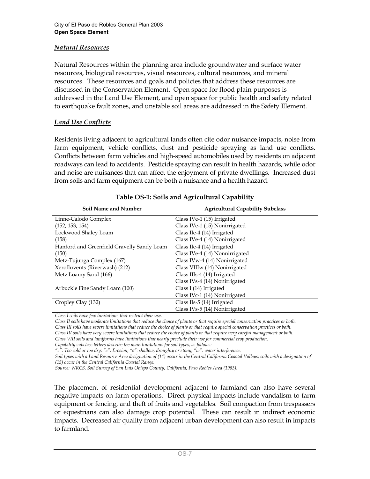#### *Natural Resources*

Natural Resources within the planning area include groundwater and surface water resources, biological resources, visual resources, cultural resources, and mineral resources. These resources and goals and policies that address these resources are discussed in the Conservation Element. Open space for flood plain purposes is addressed in the Land Use Element, and open space for public health and safety related to earthquake fault zones, and unstable soil areas are addressed in the Safety Element.

#### *Land Use Conflicts*

Residents living adjacent to agricultural lands often cite odor nuisance impacts, noise from farm equipment, vehicle conflicts, dust and pesticide spraying as land use conflicts. Conflicts between farm vehicles and high-speed automobiles used by residents on adjacent roadways can lead to accidents. Pesticide spraying can result in health hazards, while odor and noise are nuisances that can affect the enjoyment of private dwellings. Increased dust from soils and farm equipment can be both a nuisance and a health hazard.

| <b>Soil Name and Number</b>                | <b>Agricultural Capability Subclass</b> |  |
|--------------------------------------------|-----------------------------------------|--|
| Linne-Calodo Complex                       | Class IVe-1 (15) Irrigated              |  |
| (152, 153, 154)                            | Class IVe-1 (15) Nonirrigated           |  |
| Lockwood Shaley Loam                       | Class IIe-4 (14) Irrigated              |  |
| (158)                                      | Class IVe-4 (14) Nonirrigated           |  |
| Hanford and Greenfield Gravelly Sandy Loam | Class IIe-4 (14) Irrigated              |  |
| (150)                                      | Class IVe-4 (14) Nonnirrigated          |  |
| Metz-Tujunga Complex (167)                 | Class IVw-4 (14) Nonirrigated           |  |
| Xerofluvents (Riverwash) (212)             | Class VIIIw (14) Nonirrigated           |  |
| Metz Loamy Sand (166)                      | Class IIIs-4 (14) Irrigated             |  |
|                                            | Class IVs-4 (14) Nonirrigated           |  |
| Arbuckle Fine Sandy Loam (100)             | Class I (14) Irrigated                  |  |
|                                            | Class IVc-1 (14) Nonirrigated           |  |
| Cropley Clay (132)                         | Class IIs-5 (14) Irrigated              |  |
|                                            | Class IVs-5 (14) Nonirrigated           |  |

|  | Table OS-1: Soils and Agricultural Capability |  |
|--|-----------------------------------------------|--|
|--|-----------------------------------------------|--|

*Class I soils have few limitations that restrict their use.* 

*Class II soils have moderate limitations that reduce the choice of plants or that require special conservation practices or both.* 

*Class III soils have severe limitations that reduce the choice of plants or that require special conservation practices or both.* 

*Class IV soils have very severe limitations that reduce the choice of plants or that require very careful management or both.* 

*Class VIII soils and landforms have limitations that nearly preclude their use for commercial crop production.* 

*Capability subclass letters describe the main limitations for soil types, as follows:* 

*"c": Too cold or too dry; "e": Erosion; "s": shallow, droughty or stony; "w": water interference.* 

Soil types with a Land Resource Area designation of (14) occur in the Central California Coastal Valleys; soils with a designation of *(15) occur in the Central California Coastal Range.* 

*Source: NRCS, Soil Survey of San Luis Obispo County, California, Paso Robles Area (1983).* 

The placement of residential development adjacent to farmland can also have several negative impacts on farm operations. Direct physical impacts include vandalism to farm equipment or fencing, and theft of fruits and vegetables. Soil compaction from trespassers or equestrians can also damage crop potential. These can result in indirect economic impacts. Decreased air quality from adjacent urban development can also result in impacts to farmland.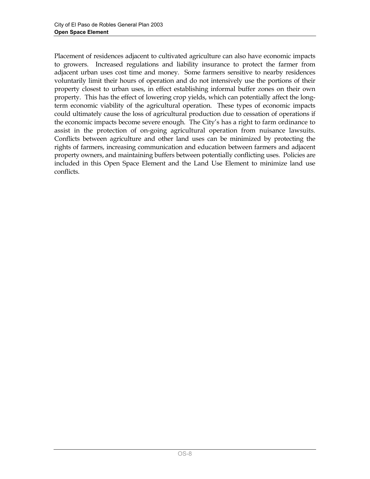Placement of residences adjacent to cultivated agriculture can also have economic impacts to growers. Increased regulations and liability insurance to protect the farmer from adjacent urban uses cost time and money. Some farmers sensitive to nearby residences voluntarily limit their hours of operation and do not intensively use the portions of their property closest to urban uses, in effect establishing informal buffer zones on their own property. This has the effect of lowering crop yields, which can potentially affect the longterm economic viability of the agricultural operation. These types of economic impacts could ultimately cause the loss of agricultural production due to cessation of operations if the economic impacts become severe enough. The City's has a right to farm ordinance to assist in the protection of on-going agricultural operation from nuisance lawsuits. Conflicts between agriculture and other land uses can be minimized by protecting the rights of farmers, increasing communication and education between farmers and adjacent property owners, and maintaining buffers between potentially conflicting uses. Policies are included in this Open Space Element and the Land Use Element to minimize land use conflicts.